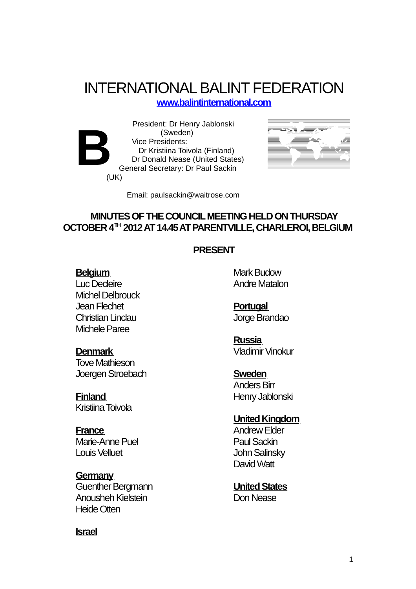# INTERNATIONAL BALINT FEDERATION

**[www.balintinternational.com](http://www.balintinternational.com/)** 

**B** President: Dr Henry Jablonski (Sweden) Vice Presidents: Dr Kristiina Toivola (Finland) Dr Donald Nease (United States) General Secretary: Dr Paul Sackin (UK)



Email: paulsackin@waitrose.com

#### **MINUTES OF THE COUNCIL MEETING HELD ON THURSDAY OCTOBER 4TH 2012 AT 14.45 AT PARENTVILLE, CHARLEROI, BELGIUM**

#### **PRESENT**

#### **Belgium**

Luc Decleire Michel Delbrouck Jean Flechet Christian Linclau Michele Paree

#### **Denmark**

Tove Mathieson Joergen Stroebach

**Finland**  Kristiina Toivola

#### **France**

Marie-Anne Puel Louis Velluet

### Germany

Guenther Bergmann Anousheh Kielstein Heide Otten

**Israel** 

Mark Budow Andre Matalon

**Portugal**  Jorge Brandao

**Russia**  Vladimir Vinokur

## **Sweden**

Anders Birr Henry Jablonski

#### **United Kingdom**

Andrew Elder Paul Sackin John Salinsky David Watt

**United States** 

Don Nease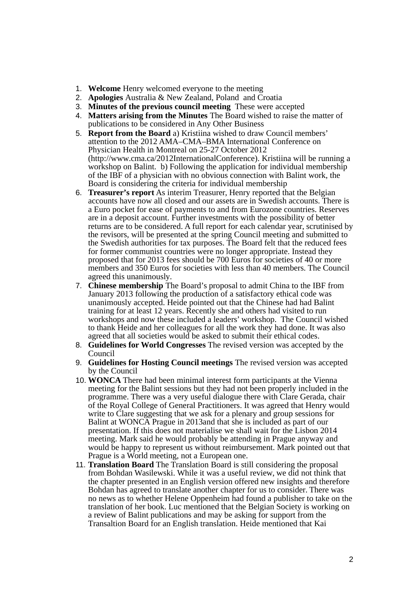- 1. **Welcome** Henry welcomed everyone to the meeting
- 2. **Apologies** Australia & New Zealand, Poland and Croatia
- 3. **Minutes of the previous council meeting** These were accepted
- 4. **Matters arising from the Minutes** The Board wished to raise the matter of publications to be considered in Any Other Business
- 5. **Report from the Board** a) Kristiina wished to draw Council members' attention to the 2012 AMA–CMA–BMA International Conference on Physician Health in Montreal on 25-27 October 2012 (http://www.cma.ca/2012InternationalConference). Kristiina will be running a workshop on Balint. b) Following the application for individual membership of the IBF of a physician with no obvious connection with Balint work, the Board is considering the criteria for individual membership
- 6. **Treasurer's report** As interim Treasurer, Henry reported that the Belgian accounts have now all closed and our assets are in Swedish accounts. There is a Euro pocket for ease of payments to and from Eurozone countries. Reserves are in a deposit account. Further investments with the possibility of better returns are to be considered. A full report for each calendar year, scrutinised by the revisors, will be presented at the spring Council meeting and submitted to the Swedish authorities for tax purposes. The Board felt that the reduced fees for former communist countries were no longer appropriate. Instead they proposed that for 2013 fees should be 700 Euros for societies of 40 or more members and 350 Euros for societies with less than 40 members. The Council agreed this unanimously.
- 7. **Chinese membership** The Board's proposal to admit China to the IBF from January 2013 following the production of a satisfactory ethical code was unanimously accepted. Heide pointed out that the Chinese had had Balint training for at least 12 years. Recently she and others had visited to run workshops and now these included a leaders' workshop. The Council wished to thank Heide and her colleagues for all the work they had done. It was also agreed that all societies would be asked to submit their ethical codes.
- 8. **Guidelines for World Congresses** The revised version was accepted by the Council
- 9. **Guidelines for Hosting Council meetings** The revised version was accepted by the Council
- 10. **WONCA** There had been minimal interest form participants at the Vienna meeting for the Balint sessions but they had not been properly included in the programme. There was a very useful dialogue there with Clare Gerada, chair of the Royal College of General Practitioners. It was agreed that Henry would write to Clare suggesting that we ask for a plenary and group sessions for Balint at WONCA Prague in 2013and that she is included as part of our presentation. If this does not materialise we shall wait for the Lisbon 2014 meeting. Mark said he would probably be attending in Prague anyway and would be happy to represent us without reimbursement. Mark pointed out that Prague is a World meeting, not a European one.
- 11. **Translation Board** The Translation Board is still considering the proposal from Bohdan Wasilewski. While it was a useful review, we did not think that the chapter presented in an English version offered new insights and therefore Bohdan has agreed to translate another chapter for us to consider. There was no news as to whether Helene Oppenheim had found a publisher to take on the translation of her book. Luc mentioned that the Belgian Society is working on a review of Balint publications and may be asking for support from the Transaltion Board for an English translation. Heide mentioned that Kai